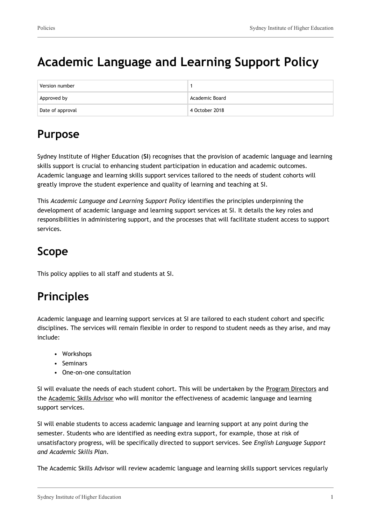# **Academic Language and Learning Support Policy**

| Version number   |                |
|------------------|----------------|
| Approved by      | Academic Board |
| Date of approval | 4 October 2018 |

# **Purpose**

Sydney Institute of Higher Education (**SI**) recognises that the provision of academic language and learning skills support is crucial to enhancing student participation in education and academic outcomes. Academic language and learning skills support services tailored to the needs of student cohorts will greatly improve the student experience and quality of learning and teaching at SI.

This *Academic Language and Learning Support Policy* identifies the principles underpinning the development of academic language and learning support services at SI. It details the key roles and responsibilities in administering support, and the processes that will facilitate student access to support services.

# **Scope**

This policy applies to all staff and students at SI.

# **Principles**

Academic language and learning support services at SI are tailored to each student cohort and specific disciplines. The services will remain flexible in order to respond to student needs as they arise, and may include:

- Workshops
- Seminars
- One-on-one consultation

SI will evaluate the needs of each student cohort. This will be undertaken by the Program Directors and the Academic Skills Advisor who will monitor the effectiveness of academic language and learning support services.

SI will enable students to access academic language and learning support at any point during the semester. Students who are identified as needing extra support, for example, those at risk of unsatisfactory progress, will be specifically directed to support services. See *English Language Support and Academic Skills Plan*.

The Academic Skills Advisor will review academic language and learning skills support services regularly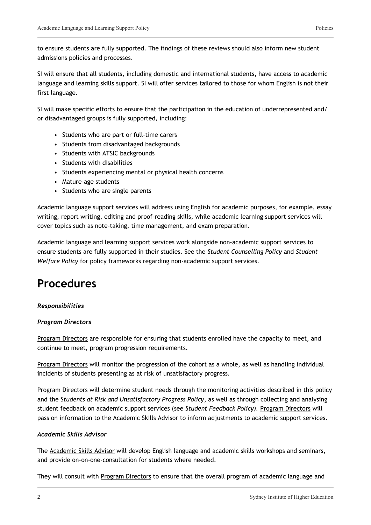to ensure students are fully supported. The findings of these reviews should also inform new student admissions policies and processes.

SI will ensure that all students, including domestic and international students, have access to academic language and learning skills support. SI will offer services tailored to those for whom English is not their first language.

SI will make specific efforts to ensure that the participation in the education of underrepresented and/ or disadvantaged groups is fully supported, including:

- Students who are part or full-time carers
- Students from disadvantaged backgrounds
- Students with ATSIC backgrounds
- Students with disabilities
- Students experiencing mental or physical health concerns
- Mature-age students
- Students who are single parents

Academic language support services will address using English for academic purposes, for example, essay writing, report writing, editing and proof-reading skills, while academic learning support services will cover topics such as note-taking, time management, and exam preparation.

Academic language and learning support services work alongside non-academic support services to ensure students are fully supported in their studies. See the *Student Counselling Policy* and *Student Welfare Policy* for policy frameworks regarding non-academic support services.

### **Procedures**

#### *Responsibilities*

#### *Program Directors*

Program Directors are responsible for ensuring that students enrolled have the capacity to meet, and continue to meet, program progression requirements.

Program Directors will monitor the progression of the cohort as a whole, as well as handling individual incidents of students presenting as at risk of unsatisfactory progress.

Program Directors will determine student needs through the monitoring activities described in this policy and the *Students at Risk and Unsatisfactory Progress Policy*, as well as through collecting and analysing student feedback on academic support services (see *Student Feedback Policy).* Program Directors will pass on information to the Academic Skills Advisor to inform adjustments to academic support services.

#### *Academic Skills Advisor*

The Academic Skills Advisor will develop English language and academic skills workshops and seminars, and provide on-on-one-consultation for students where needed.

They will consult with Program Directors to ensure that the overall program of academic language and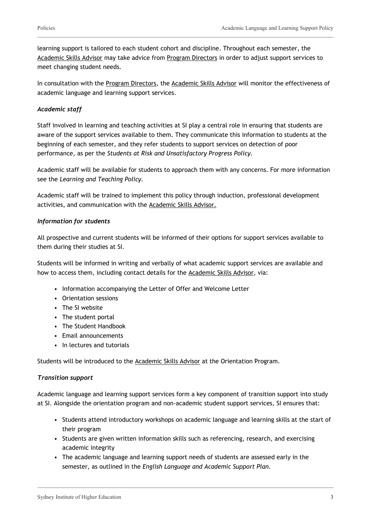learning support is tailored to each student cohort and discipline. Throughout each semester, the Academic Skills Advisor may take advice from Program Directors in order to adjust support services to meet changing student needs.

In consultation with the Program Directors, the Academic Skills Advisor will monitor the effectiveness of academic language and learning support services.

#### *Academic staff*

Staff involved in learning and teaching activities at SI play a central role in ensuring that students are aware of the support services available to them. They communicate this information to students at the beginning of each semester, and they refer students to support services on detection of poor performance, as per the *Students at Risk and Unsatisfactory Progress Policy.*

Academic staff will be available for students to approach them with any concerns. For more information see the *Learning and Teaching Policy.*

Academic staff will be trained to implement this policy through induction, professional development activities, and communication with the Academic Skills Advisor.

#### *Information for students*

All prospective and current students will be informed of their options for support services available to them during their studies at SI.

Students will be informed in writing and verbally of what academic support services are available and how to access them, including contact details for the Academic Skills Advisor, via:

- Information accompanying the Letter of Offer and Welcome Letter
- Orientation sessions
- The SI website
- The student portal
- The Student Handbook
- Email announcements
- In lectures and tutorials

Students will be introduced to the **Academic Skills Advisor** at the Orientation Program.

#### *Transition support*

Academic language and learning support services form a key component of transition support into study at SI. Alongside the orientation program and non-academic student support services, SI ensures that:

- Students attend introductory workshops on academic language and learning skills at the start of their program
- Students are given written information skills such as referencing, research, and exercising academic integrity
- The academic language and learning support needs of students are assessed early in the semester, as outlined in the *English Language and Academic Support Plan.*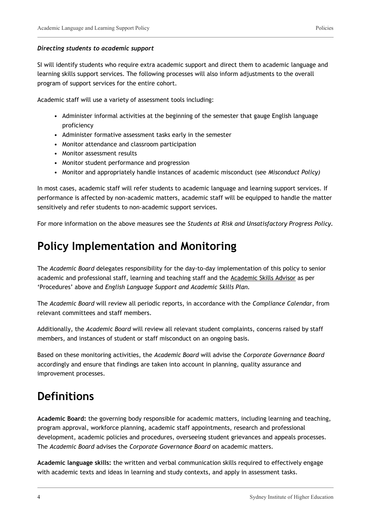#### *Directing students to academic support*

SI will identify students who require extra academic support and direct them to academic language and learning skills support services. The following processes will also inform adjustments to the overall program of support services for the entire cohort.

Academic staff will use a variety of assessment tools including:

- Administer informal activities at the beginning of the semester that gauge English language proficiency
- Administer formative assessment tasks early in the semester
- Monitor attendance and classroom participation
- Monitor assessment results
- Monitor student performance and progression
- Monitor and appropriately handle instances of academic misconduct (see *Misconduct Policy)*

In most cases, academic staff will refer students to academic language and learning support services. If performance is affected by non-academic matters, academic staff will be equipped to handle the matter sensitively and refer students to non-academic support services.

For more information on the above measures see the *Students at Risk and Unsatisfactory Progress Policy.*

### **Policy Implementation and Monitoring**

The *Academic Board* delegates responsibility for the day-to-day implementation of this policy to senior academic and professional staff, learning and teaching staff and the Academic Skills Advisor as per 'Procedures' above and *English Language Support and Academic Skills Plan.*

The *Academic Board* will review all periodic reports, in accordance with the *Compliance Calendar*, from relevant committees and staff members.

Additionally, the *Academic Board* will review all relevant student complaints, concerns raised by staff members, and instances of student or staff misconduct on an ongoing basis.

Based on these monitoring activities, the *Academic Board* will advise the *Corporate Governance Board* accordingly and ensure that findings are taken into account in planning, quality assurance and improvement processes.

### **Definitions**

**Academic Board:** the governing body responsible for academic matters, including learning and teaching, program approval, workforce planning, academic staff appointments, research and professional development, academic policies and procedures, overseeing student grievances and appeals processes. The *Academic Board* advises the *Corporate Governance Board* on academic matters.

**Academic language skills:** the written and verbal communication skills required to effectively engage with academic texts and ideas in learning and study contexts, and apply in assessment tasks.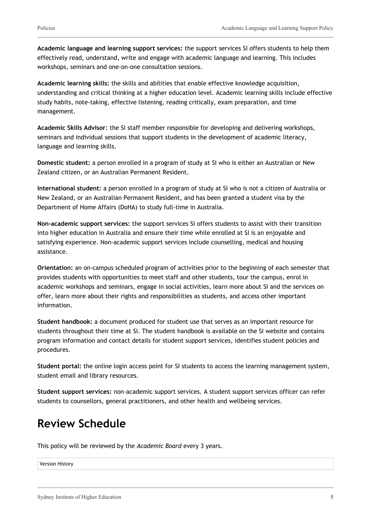**Academic language and learning support services:** the support services SI offers students to help them effectively read, understand, write and engage with academic language and learning. This includes workshops, seminars and one-on-one consultation sessions.

**Academic learning skills:** the skills and abilities that enable effective knowledge acquisition, understanding and critical thinking at a higher education level. Academic learning skills include effective study habits, note-taking, effective listening, reading critically, exam preparation, and time management.

**Academic Skills Advisor**: the SI staff member responsible for developing and delivering workshops, seminars and individual sessions that support students in the development of academic literacy, language and learning skills.

**Domestic student:** a person enrolled in a program of study at SI who is either an Australian or New Zealand citizen, or an Australian Permanent Resident.

**International student:** a person enrolled in a program of study at SI who is not a citizen of Australia or New Zealand, or an Australian Permanent Resident, and has been granted a student visa by the Department of Home Affairs (DoHA) to study full-time in Australia.

**Non-academic support services:** the support services SI offers students to assist with their transition into higher education in Australia and ensure their time while enrolled at SI is an enjoyable and satisfying experience. Non-academic support services include counselling, medical and housing assistance.

**Orientation:** an on-campus scheduled program of activities prior to the beginning of each semester that provides students with opportunities to meet staff and other students, tour the campus, enrol in academic workshops and seminars, engage in social activities, learn more about SI and the services on offer, learn more about their rights and responsibilities as students, and access other important information.

**Student handbook:** a document produced for student use that serves as an important resource for students throughout their time at SI. The student handbook is available on the SI website and contains program information and contact details for student support services, identifies student policies and procedures.

**Student portal:** the online login access point for SI students to access the learning management system, student email and library resources.

**Student support services:** non-academic support services. A student support services officer can refer students to counsellors, general practitioners, and other health and wellbeing services.

## **Review Schedule**

This policy will be reviewed by the *Academic Board* every 3 years.

Version History